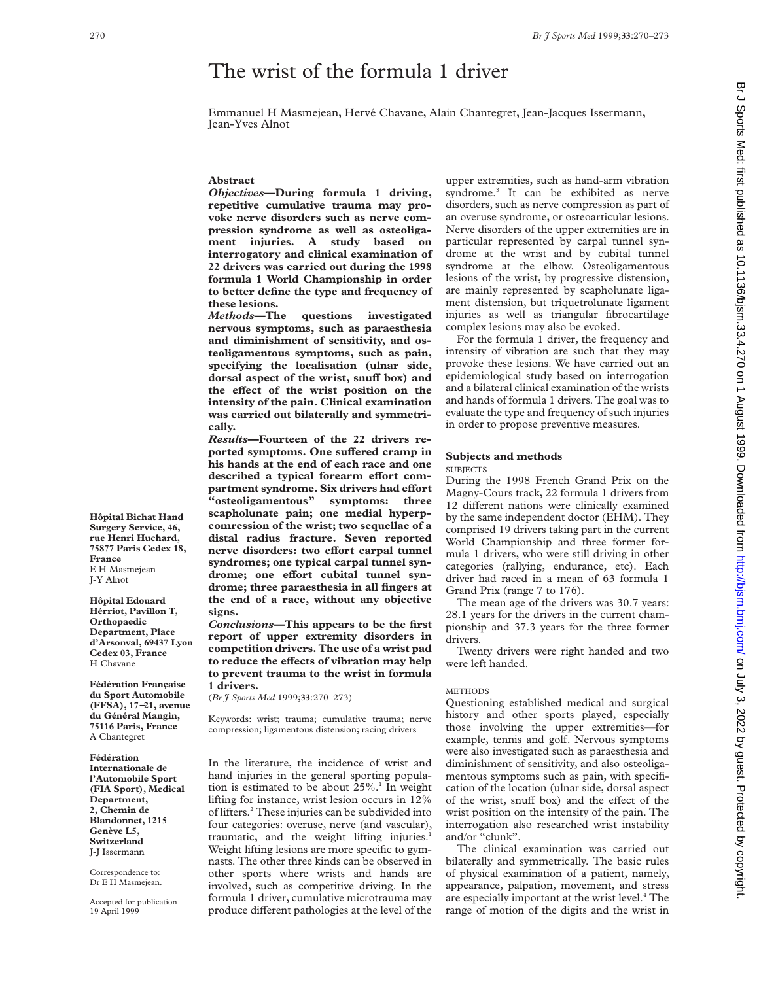# The wrist of the formula 1 driver

Emmanuel H Masmejean, Hervé Chavane, Alain Chantegret, Jean-Jacques Issermann, Jean-Yves Alnot

#### **Abstract**

*Objectives***—During formula 1 driving, repetitive cumulative trauma may provoke nerve disorders such as nerve compression syndrome as well as osteoligament injuries. A study based on interrogatory and clinical examination of 22 drivers was carried out during the 1998 formula 1 World Championship in order to better define the type and frequency of these lesions.**

*Methods***—The questions investigated nervous symptoms, such as paraesthesia and diminishment of sensitivity, and osteoligamentous symptoms, such as pain, specifying the localisation (ulnar side, dorsal aspect of the wrist, snuff box) and** the effect of the wrist position on the **intensity of the pain. Clinical examination was carried out bilaterally and symmetrically.**

*Results***—Fourteen of the 22 drivers re**ported symptoms. One suffered cramp in **his hands at the end of each race and one** described a typical forearm effort com**partment syndrome. Six drivers had effort "osteoligamentous" symptoms: three scapholunate pain; one medial hyperpcomression of the wrist; two sequellae of a distal radius fracture. Seven reported**  $n$ **erve** disorders: two effort carpal tunnel **syndromes; one typical carpal tunnel syn**drome; one effort cubital tunnel syn**drome; three paraesthesia in all fingers at the end of a race, without any objective signs.**

*Conclusions***—This appears to be the first report of upper extremity disorders in competition drivers. The use of a wrist pad** to reduce the effects of vibration may help **to prevent trauma to the wrist in formula 1 drivers.**

(*Br J Sports Med* 1999;**33**:270–273)

Keywords: wrist; trauma; cumulative trauma; nerve compression; ligamentous distension; racing drivers

In the literature, the incidence of wrist and hand injuries in the general sporting population is estimated to be about  $25\%$ .<sup>1</sup> In weight lifting for instance, wrist lesion occurs in 12% of lifters.2 These injuries can be subdivided into four categories: overuse, nerve (and vascular), traumatic, and the weight lifting injuries. Weight lifting lesions are more specific to gymnasts. The other three kinds can be observed in other sports where wrists and hands are involved, such as competitive driving. In the formula 1 driver, cumulative microtrauma may produce different pathologies at the level of the

upper extremities, such as hand-arm vibration syndrome.<sup>3</sup> It can be exhibited as nerve disorders, such as nerve compression as part of an overuse syndrome, or osteoarticular lesions. Nerve disorders of the upper extremities are in particular represented by carpal tunnel syndrome at the wrist and by cubital tunnel syndrome at the elbow. Osteoligamentous lesions of the wrist, by progressive distension, are mainly represented by scapholunate ligament distension, but triquetrolunate ligament injuries as well as triangular fibrocartilage complex lesions may also be evoked.

For the formula 1 driver, the frequency and intensity of vibration are such that they may provoke these lesions. We have carried out an epidemiological study based on interrogation and a bilateral clinical examination of the wrists and hands of formula 1 drivers. The goal was to evaluate the type and frequency of such injuries in order to propose preventive measures.

### **Subjects and methods**

SUBJECTS

During the 1998 French Grand Prix on the Magny-Cours track, 22 formula 1 drivers from 12 different nations were clinically examined by the same independent doctor (EHM). They comprised 19 drivers taking part in the current World Championship and three former formula 1 drivers, who were still driving in other categories (rallying, endurance, etc). Each driver had raced in a mean of 63 formula 1 Grand Prix (range 7 to 176).

The mean age of the drivers was 30.7 years: 28.1 years for the drivers in the current championship and 37.3 years for the three former drivers.

Twenty drivers were right handed and two were left handed.

#### **METHODS**

Questioning established medical and surgical history and other sports played, especially those involving the upper extremities—for example, tennis and golf. Nervous symptoms were also investigated such as paraesthesia and diminishment of sensitivity, and also osteoligamentous symptoms such as pain, with specification of the location (ulnar side, dorsal aspect of the wrist, snuff box) and the effect of the wrist position on the intensity of the pain. The interrogation also researched wrist instability and/or "clunk".

The clinical examination was carried out bilaterally and symmetrically. The basic rules of physical examination of a patient, namely, appearance, palpation, movement, and stress are especially important at the wrist level.<sup>4</sup> The range of motion of the digits and the wrist in

**Hôpital Bichat Hand Surgery Service, 46, rue Henri Huchard, 75877 Paris Cedex 18, France** E H Masmejean J-Y Alnot

**Hôpital Edouard Hérriot, Pavillon T, Orthopaedic Department, Place d'Arsonval, 69437 Lyon Cedex 03, France** H Chavane

**Fédération Française du Sport Automobile (FFSA), 17**−**21, avenue du Général Mangin, 75116 Paris, France** A Chantegret

**Fédération Internationale de l'Automobile Sport (FIA Sport), Medical Department, 2, Chemin de Blandonnet, 1215 Genève L5, Switzerland** J-J Issermann

Correspondence to: Dr E H Masmejean.

Accepted for publication 19 April 1999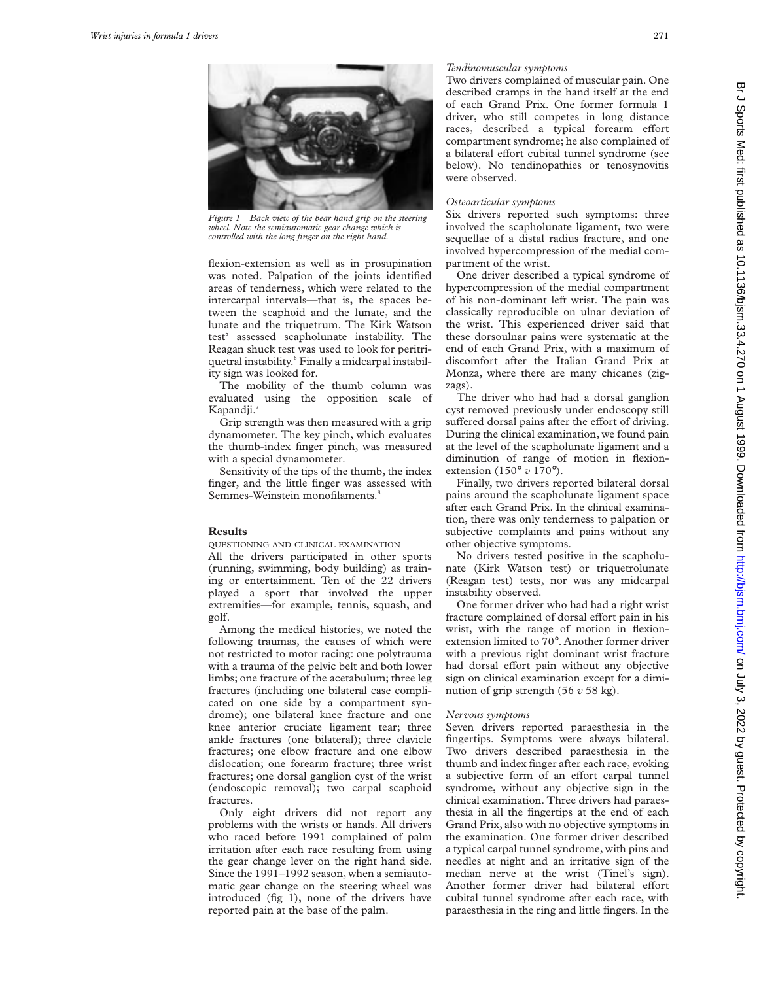

*Figure 1 Back view of the bear hand grip on the steering wheel. Note the semiautomatic gear change which is controlled with the long finger on the right hand.*

flexion-extension as well as in prosupination was noted. Palpation of the joints identified areas of tenderness, which were related to the intercarpal intervals—that is, the spaces between the scaphoid and the lunate, and the lunate and the triquetrum. The Kirk Watson test<sup>5</sup> assessed scapholunate instability. The Reagan shuck test was used to look for peritriquetral instability.<sup>6</sup> Finally a midcarpal instability sign was looked for.

The mobility of the thumb column was evaluated using the opposition scale of Kapandii.<sup>7</sup>

Grip strength was then measured with a grip dynamometer. The key pinch, which evaluates the thumb-index finger pinch, was measured with a special dynamometer.

Sensitivity of the tips of the thumb, the index finger, and the little finger was assessed with Semmes-Weinstein monofilaments.<sup>8</sup>

## **Results**

QUESTIONING AND CLINICAL EXAMINATION

All the drivers participated in other sports (running, swimming, body building) as training or entertainment. Ten of the 22 drivers played a sport that involved the upper extremities—for example, tennis, squash, and golf.

Among the medical histories, we noted the following traumas, the causes of which were not restricted to motor racing: one polytrauma with a trauma of the pelvic belt and both lower limbs; one fracture of the acetabulum; three leg fractures (including one bilateral case complicated on one side by a compartment syndrome); one bilateral knee fracture and one knee anterior cruciate ligament tear; three ankle fractures (one bilateral); three clavicle fractures; one elbow fracture and one elbow dislocation; one forearm fracture; three wrist fractures; one dorsal ganglion cyst of the wrist (endoscopic removal); two carpal scaphoid fractures.

Only eight drivers did not report any problems with the wrists or hands. All drivers who raced before 1991 complained of palm irritation after each race resulting from using the gear change lever on the right hand side. Since the 1991–1992 season, when a semiautomatic gear change on the steering wheel was introduced (fig 1), none of the drivers have reported pain at the base of the palm.

## *Tendinomuscular symptoms*

Two drivers complained of muscular pain. One described cramps in the hand itself at the end of each Grand Prix. One former formula 1 driver, who still competes in long distance races, described a typical forearm effort compartment syndrome; he also complained of a bilateral effort cubital tunnel syndrome (see below). No tendinopathies or tenosynovitis were observed.

### *Osteoarticular symptoms*

Six drivers reported such symptoms: three involved the scapholunate ligament, two were sequellae of a distal radius fracture, and one involved hypercompression of the medial compartment of the wrist.

One driver described a typical syndrome of hypercompression of the medial compartment of his non-dominant left wrist. The pain was classically reproducible on ulnar deviation of the wrist. This experienced driver said that these dorsoulnar pains were systematic at the end of each Grand Prix, with a maximum of discomfort after the Italian Grand Prix at Monza, where there are many chicanes (zigzags).

The driver who had had a dorsal ganglion cyst removed previously under endoscopy still suffered dorsal pains after the effort of driving. During the clinical examination, we found pain at the level of the scapholunate ligament and a diminution of range of motion in flexionextension (150° *v* 170°).

Finally, two drivers reported bilateral dorsal pains around the scapholunate ligament space after each Grand Prix. In the clinical examination, there was only tenderness to palpation or subjective complaints and pains without any other objective symptoms.

No drivers tested positive in the scapholunate (Kirk Watson test) or triquetrolunate (Reagan test) tests, nor was any midcarpal instability observed.

One former driver who had had a right wrist fracture complained of dorsal effort pain in his wrist, with the range of motion in flexionextension limited to 70°. Another former driver with a previous right dominant wrist fracture had dorsal effort pain without any objective sign on clinical examination except for a diminution of grip strength (56 *v* 58 kg).

### *Nervous symptoms*

Seven drivers reported paraesthesia in the fingertips. Symptoms were always bilateral. Two drivers described paraesthesia in the thumb and index finger after each race, evoking a subjective form of an effort carpal tunnel syndrome, without any objective sign in the clinical examination. Three drivers had paraesthesia in all the fingertips at the end of each Grand Prix, also with no objective symptoms in the examination. One former driver described a typical carpal tunnel syndrome, with pins and needles at night and an irritative sign of the median nerve at the wrist (Tinel's sign). Another former driver had bilateral effort cubital tunnel syndrome after each race, with paraesthesia in the ring and little fingers. In the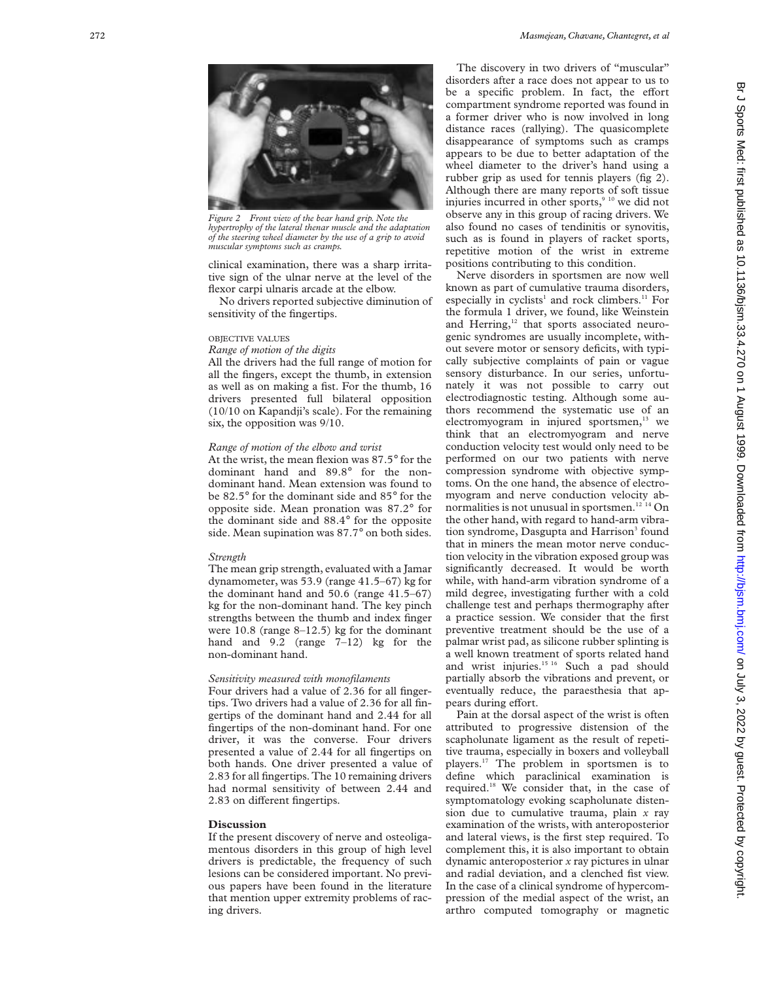

*Figure 2 Front view of the bear hand grip. Note the hypertrophy of the lateral thenar muscle and the adaptation of the steering wheel diameter by the use of a grip to avoid muscular symptoms such as cramps.*

clinical examination, there was a sharp irritative sign of the ulnar nerve at the level of the flexor carpi ulnaris arcade at the elbow.

No drivers reported subjective diminution of sensitivity of the fingertips.

#### OBJECTIVE VALUES

#### *Range of motion of the digits*

All the drivers had the full range of motion for all the fingers, except the thumb, in extension as well as on making a fist. For the thumb, 16 drivers presented full bilateral opposition (10/10 on Kapandji's scale). For the remaining six, the opposition was 9/10.

# *Range of motion of the elbow and wrist*

At the wrist, the mean flexion was 87.5 ° for the dominant hand and 89.8 ° for the nondominant hand. Mean extension was found to be 82.5 ° for the dominant side and 85 ° for the opposite side. Mean pronation was 87.2 ° for the dominant side and 88.4 ° for the opposite side. Mean supination was 87.7 ° on both sides.

#### *Strength*

The mean grip strength, evaluated with a Jamar dynamometer, was 53.9 (range 41.5–67) kg for the dominant hand and 50.6 (range 41.5–67) kg for the non-dominant hand. The key pinch strengths between the thumb and index finger were 10.8 (range 8–12.5) kg for the dominant hand and 9.2 (range 7–12) kg for the non-dominant hand.

## *Sensitivity measured with monofilaments*

Four drivers had a value of 2.36 for all fingertips. Two drivers had a value of 2.36 for all fingertips of the dominant hand and 2.44 for all fingertips of the non-dominant hand. For one driver, it was the converse. Four drivers presented a value of 2.44 for all fingertips on both hands. One driver presented a value of 2.83 for all fingertips. The 10 remaining drivers had normal sensitivity of between 2.44 and 2.83 on different fingertips.

### **Discussion**

If the present discovery of nerve and osteoligamentous disorders in this group of high level drivers is predictable, the frequency of such lesions can be considered important. No previous papers have been found in the literature that mention upper extremity problems of racing drivers.

The discovery in two drivers of "muscular" disorders after a race does not appear to us to be a specific problem. In fact, the effort compartment syndrome reported was found in a former driver who is now involved in long distance races (rallying). The quasicomplete disappearance of symptoms such as cramps appears to be due to better adaptation of the wheel diameter to the driver's hand using a rubber grip as used for tennis players (fig 2). Although there are many reports of soft tissue injuries incurred in other sports, $910$  we did not observe any in this group of racing drivers. We also found no cases of tendinitis or synovitis, such as is found in players of racket sports, repetitive motion of the wrist in extreme positions contributing to this condition.

Nerve disorders in sportsmen are now well known as part of cumulative trauma disorders, especially in cyclists<sup>1</sup> and rock climbers.<sup>11</sup> For the formula 1 driver, we found, like Weinstein and Herring,<sup>12</sup> that sports associated neurogenic syndromes are usually incomplete, without severe motor or sensory deficits, with typically subjective complaints of pain or vague sensory disturbance. In our series, unfortunately it was not possible to carry out electrodiagnostic testing. Although some authors recommend the systematic use of an electromyogram in injured sportsmen,<sup>13</sup> we think that an electromyogram and nerve conduction velocity test would only need to be performed on our two patients with nerve compression syndrome with objective symptoms. On the one hand, the absence of electromyogram and nerve conduction velocity abnormalities is not unusual in sportsmen.<sup>12 14</sup> On the other hand, with regard to hand-arm vibration syndrome, Dasgupta and Harrison<sup>3</sup> found that in miners the mean motor nerve conduction velocity in the vibration exposed group was significantly decreased. It would be worth while, with hand-arm vibration syndrome of a mild degree, investigating further with a cold challenge test and perhaps thermography after a practice session. We consider that the first preventive treatment should be the use of a palmar wrist pad, as silicone rubber splinting is a well known treatment of sports related hand and wrist injuries.<sup>15 16</sup> Such a pad should partially absorb the vibrations and prevent, or eventually reduce, the paraesthesia that appears during effort.

Pain at the dorsal aspect of the wrist is often attributed to progressive distension of the scapholunate ligament as the result of repetitive trauma, especially in boxers and volleyball players.17 The problem in sportsmen is to define which paraclinical examination is required.18 We consider that, in the case of symptomatology evoking scapholunate distension due to cumulative trauma, plain *x* ray examination of the wrists, with anteroposterior and lateral views, is the first step required. To complement this, it is also important to obtain dynamic anteroposterior *x* ray pictures in ulnar and radial deviation, and a clenched fist view. In the case of a clinical syndrome of hypercompression of the medial aspect of the wrist, an arthro computed tomography or magnetic